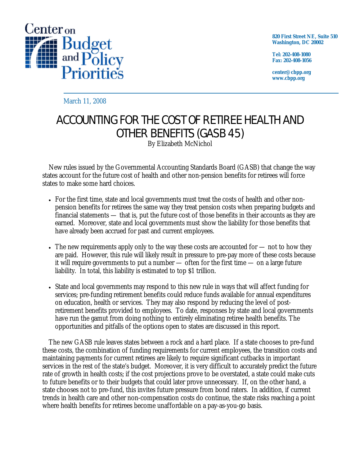

**820 First Street NE, Suite 510 Washington, DC 20002** 

**Tel: 202-408-1080 Fax: 202-408-1056** 

**center@cbpp.org www.cbpp.org** 

March 11, 2008

# ACCOUNTING FOR THE COST OF RETIREE HEALTH AND OTHER BENEFITS (GASB 45)

By Elizabeth McNichol

New rules issued by the Governmental Accounting Standards Board (GASB) that change the way states account for the future cost of health and other non-pension benefits for retirees will force states to make some hard choices.

- For the first time, state and local governments must treat the costs of health and other nonpension benefits for retirees the same way they treat pension costs when preparing budgets and financial statements — that is, put the future cost of those benefits in their accounts as they are earned. Moreover, state and local governments must show the liability for those benefits that have already been accrued for past and current employees.
- The new requirements apply only to the way these costs are accounted for not to how they are paid. However, this rule will likely result in pressure to pre-pay more of these costs because it will require governments to put a number — often for the first time — on a large future liability. In total, this liability is estimated to top \$1 trillion.
- State and local governments may respond to this new rule in ways that will affect funding for services; pre-funding retirement benefits could reduce funds available for annual expenditures on education, health or services. They may also respond by reducing the level of postretirement benefits provided to employees. To date, responses by state and local governments have run the gamut from doing nothing to entirely eliminating retiree health benefits. The opportunities and pitfalls of the options open to states are discussed in this report.

The new GASB rule leaves states between a rock and a hard place. If a state chooses to pre-fund these costs, the combination of funding requirements for current employees, the transition costs and maintaining payments for current retirees are likely to require significant cutbacks in important services in the rest of the state's budget. Moreover, it is very difficult to accurately predict the future rate of growth in health costs; if the cost projections prove to be overstated, a state could make cuts to future benefits or to their budgets that could later prove unnecessary. If, on the other hand, a state chooses not to pre-fund, this invites future pressure from bond raters. In addition, if current trends in health care and other non-compensation costs do continue, the state risks reaching a point where health benefits for retirees become unaffordable on a pay-as-you-go basis.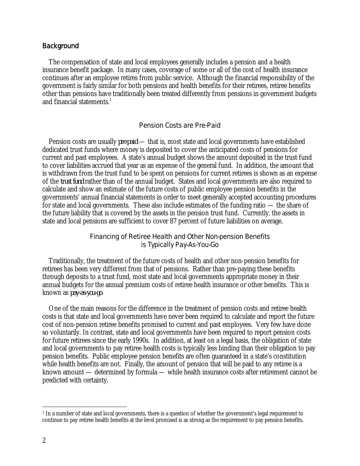#### **Background**

The compensation of state and local employees generally includes a pension and a health insurance benefit package. In many cases, coverage of some or all of the cost of health insurance continues after an employee retires from public service. Although the financial responsibility of the government is fairly similar for both pensions and health benefits for their retirees, retiree benefits other than pensions have traditionally been treated differently from pensions in government budgets and financial statements.<sup>1</sup>

#### Pension Costs are Pre-Paid

Pension costs are usually *pre-paid* — that is, most state and local governments have established dedicated trust funds where money is deposited to cover the anticipated costs of pensions for current and past employees. A state's annual budget shows the amount deposited in the trust fund to cover liabilities accrued that year as an expense of the general fund. In addition, the amount that is withdrawn from the trust fund to be spent on pensions for current retirees is shown as an expense of the *trust fund* rather than of the annual budget. States and local governments are also required to calculate and show an estimate of the future costs of public employee pension benefits in the governments' annual financial statements in order to meet generally accepted accounting procedures for state and local governments. These also include estimates of the funding ratio — the share of the future liability that is covered by the assets in the pension trust fund. Currently, the assets in state and local pensions are sufficient to cover 87 percent of future liabilities on average.

## Financing of Retiree Health and Other Non-pension Benefits is Typically Pay-As-You-Go

Traditionally, the treatment of the future costs of health and other non-pension benefits for retirees has been very different from that of pensions. Rather than pre-paying these benefits through deposits to a trust fund, most state and local governments appropriate money in their annual budgets for the annual premium costs of retiree health insurance or other benefits. This is known as *pay-as-you-go*.

One of the main reasons for the difference in the treatment of pension costs and retiree health costs is that state and local governments have never been required to calculate and report the future cost of non-pension retiree benefits promised to current and past employees. Very few have done so voluntarily. In contrast, state and local governments have been required to report pension costs for future retirees since the early 1990s. In addition, at least on a legal basis, the obligation of state and local governments to pay retiree health costs is typically less binding than their obligation to pay pension benefits. Public employee pension benefits are often guaranteed in a state's constitution while health benefits are not. Finally, the amount of pension that will be paid to any retiree is a known amount — determined by formula — while health insurance costs after retirement cannot be predicted with certainty.

 $\overline{a}$ 

<sup>&</sup>lt;sup>1</sup> In a number of state and local governments, there is a question of whether the government's legal requirement to continue to pay retiree health benefits at the level promised is as strong as the requirement to pay pension benefits.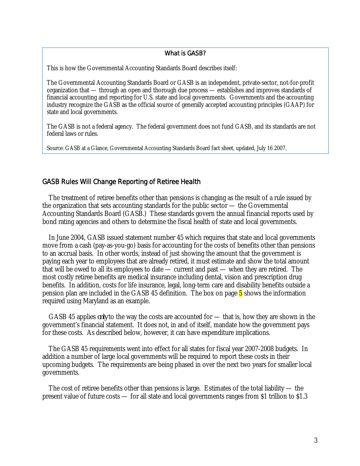#### What is GASB?

This is how the Governmental Accounting Standards Board describes itself:

The Governmental Accounting Standards Board or GASB is an independent, private-sector, not-for-profit organization that — through an open and thorough due process — establishes and improves standards of financial accounting and reporting for U.S. state and local governments. Governments and the accounting industry recognize the GASB as the official source of generally accepted accounting principles (GAAP) for state and local governments.

The GASB is not a federal agency. The federal government does not fund GASB, and its standards are not federal laws or rules.

Source: GASB at a Glance, Governmental Accounting Standards Board fact sheet, updated, July 16 2007.

#### GASB Rules Will Change Reporting of Retiree Health

The treatment of retiree benefits other than pensions is changing as the result of a rule issued by the organization that sets accounting standards for the public sector — the Governmental Accounting Standards Board (GASB.) These standards govern the annual financial reports used by bond rating agencies and others to determine the fiscal health of state and local governments.

 In June 2004, GASB issued statement number 45 which requires that state and local governments move from a cash (pay-as-you-go) basis for accounting for the costs of benefits other than pensions to an accrual basis. In other words, instead of just showing the amount that the government is paying each year to employees that are already retired, it must estimate and show the total amount that will be owed to all its employees to date — current and past — when they are retired. The most costly retiree benefits are medical insurance including dental, vision and prescription drug benefits. In addition, costs for life insurance, legal, long-term care and disability benefits outside a pension plan are included in the GASB 45 definition. The box on page 5 shows the information required using Maryland as an example.

 GASB 45 applies *only* to the way the costs are accounted for — that is, how they are shown in the government's financial statement. It does not, in and of itself, mandate how the government pays for these costs. As described below, however, it can have expenditure implications.

 The GASB 45 requirements went into effect for all states for fiscal year 2007-2008 budgets. In addition a number of large local governments will be required to report these costs in their upcoming budgets. The requirements are being phased in over the next two years for smaller local governments.

 The cost of retiree benefits other than pensions is large. Estimates of the total liability — the present value of future costs — for all state and local governments ranges from \$1 trillion to \$1.3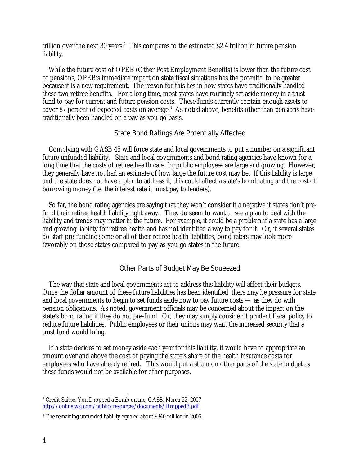trillion over the next 30 years.<sup>2</sup> This compares to the estimated \$2.4 trillion in future pension liability.

 While the future cost of OPEB (Other Post Employment Benefits) is lower than the future cost of pensions, OPEB's immediate impact on state fiscal situations has the potential to be greater because it is a new requirement. The reason for this lies in how states have traditionally handled these two retiree benefits. For a long time, most states have routinely set aside money in a trust fund to pay for current and future pension costs. These funds currently contain enough assets to cover 87 percent of expected costs on average. $3$  As noted above, benefits other than pensions have traditionally been handled on a pay-as-you-go basis.

## State Bond Ratings Are Potentially Affected

 Complying with GASB 45 will force state and local governments to put a number on a significant future unfunded liability. State and local governments and bond rating agencies have known for a long time that the costs of retiree health care for public employees are large and growing. However, they generally have not had an estimate of how large the future cost may be. If this liability is large and the state does not have a plan to address it, this could affect a state's bond rating and the cost of borrowing money (i.e. the interest rate it must pay to lenders).

 So far, the bond rating agencies are saying that they won't consider it a negative if states don't prefund their retiree health liability right away. They do seem to want to see a plan to deal with the liability and trends may matter in the future. For example, it could be a problem if a state has a large and growing liability for retiree health and has not identified a way to pay for it. Or, if several states do start pre-funding some or all of their retiree health liabilities, bond raters may look more favorably on those states compared to pay-as-you-go states in the future.

## Other Parts of Budget May Be Squeezed

 The way that state and local governments act to address this liability will affect their budgets. Once the dollar amount of these future liabilities has been identified, there may be pressure for state and local governments to begin to set funds aside now to pay future costs — as they do with pension obligations. As noted, government officials may be concerned about the impact on the state's bond rating if they do not pre-fund. Or, they may simply consider it prudent fiscal policy to reduce future liabilities. Public employees or their unions may want the increased security that a trust fund would bring.

 If a state decides to set money aside each year for this liability, it would have to appropriate an amount over and above the cost of paying the state's share of the health insurance costs for employees who have already retired. This would put a strain on other parts of the state budget as these funds would not be available for other purposes.

 $\overline{a}$ 2 Credit Suisse, You Dropped a Bomb on me, GASB, March 22, 2007 http://online.wsj.com/public/resources/documents/DroppedB.pdf

<sup>3</sup> The remaining unfunded liability equaled about \$340 million in 2005.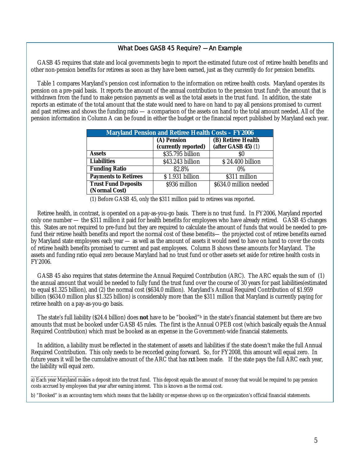### What Does GASB 45 Require? — An Example

GASB 45 requires that state and local governments begin to report the estimated future cost of retiree health benefits and other non-pension benefits for retirees as soon as they have been earned, just as they currently do for pension benefits.

 Table 1 compares Maryland's pension cost information to the information on retiree health costs. Maryland operates its pension on a pre-paid basis. It reports the amount of the annual contribution to the pension trust fund<sup>a</sup>, the amount that is withdrawn from the fund to make pension payments as well as the total assets in the trust fund. In addition, the state reports an estimate of the total amount that the state would need to have on hand to pay all pensions promised to current and past retirees and shows the funding ratio — a comparison of the assets on hand to the total amount needed. All of the pension information in Column A can be found in either the budget or the financial report published by Maryland each year.

| <b>Maryland Pension and Retiree Health Costs - FY2006</b> |                                     |                                               |
|-----------------------------------------------------------|-------------------------------------|-----------------------------------------------|
|                                                           | (A) Pension<br>(currently reported) | (B) Retiree Health<br>$(after GASB 45)$ $(1)$ |
| Assets                                                    | \$35.795 billion                    |                                               |
| <b>Liabilities</b>                                        | \$43.243 billion                    | \$24.400 billion                              |
| <b>Funding Ratio</b>                                      | 82.8%                               | $0\%$                                         |
| <b>Payments to Retirees</b>                               | \$1.931 billion                     | \$311 million                                 |
| <b>Trust Fund Deposits</b>                                | \$936 million                       | \$634.0 million needed                        |
| (Normal Cost)                                             |                                     |                                               |

(1) Before GASB 45, only the \$311 million paid to retirees was reported.

Retiree health, in contrast, is operated on a pay-as-you-go basis. There is no trust fund. In FY2006, Maryland reported only one number — the \$311 million it paid for health benefits for employees who have already retired. GASB 45 changes this. States are not required to pre-fund but they are required to calculate the amount of funds that would be needed to prefund their retiree health benefits and report the normal cost of these benefits— the projected cost of retiree benefits earned by Maryland state employees each year — as well as the amount of assets it would need to have on hand to cover the costs of retiree health benefits promised to current and past employees. Column B shows these amounts for Maryland. The assets and funding ratio equal zero because Maryland had no trust fund or other assets set aside for retiree health costs in FY2006.

 GASB 45 also requires that states determine the Annual Required Contribution (ARC). The ARC equals the sum of (1) the annual amount that would be needed to fully fund the trust fund over the course of 30 years for past liabilities(estimated to equal \$1.325 billion), and (2) the normal cost (\$634.0 million). Maryland's Annual Required Contribution of \$1.959 billion (\$634.0 million plus \$1.325 billion) is considerably more than the \$311 million that Maryland is currently paying for retiree health on a pay-as-you-go basis.

 The state's full liability (\$24.4 billion) does **not** have to be "booked"b in the state's financial statement but there are two amounts that must be booked under GASB 45 rules. The first is the Annual OPEB cost (which basically equals the Annual Required Contribution) which must be booked as an expense in the Government-wide financial statements.

 In addition, a liability must be reflected in the statement of assets and liabilities if the state doesn't make the full Annual Required Contribution. This only needs to be recorded going forward. So, for FY2008, this amount will equal zero. In future years it will be the cumulative amount of the ARC that has *not* been made. If the state pays the full ARC each year, the liability will equal zero.

a) Each year Maryland makes a deposit into the trust fund. This deposit equals the amount of money that would be required to pay pension costs accrued by employees that year after earning interest. This is known as the normal cost.

b) "Booked" is an accounting term which means that the liability or expense shows up on the organization's official financial statements.

\_\_\_\_\_\_\_\_\_\_\_\_\_\_\_\_\_\_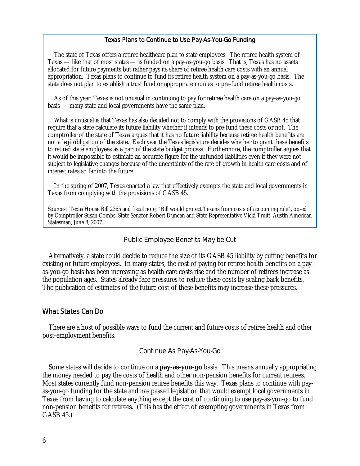#### Texas Plans to Continue to Use Pay-As-You-Go Funding

The state of Texas offers a retiree healthcare plan to state employees. The retiree health system of Texas — like that of most states — is funded on a pay-as-you-go basis. That is, Texas has no assets allocated for future payments but rather pays its share of retiree health care costs with an annual appropriation. Texas plans to continue to fund its retiree health system on a pay-as-you-go basis. The state does not plan to establish a trust fund or appropriate monies to pre-fund retiree health costs.

As of this year, Texas is not unusual in continuing to pay for retiree health care on a pay-as-you-go basis — many state and local governments have the same plan.

What is unusual is that Texas has also decided not to comply with the provisions of GASB 45 that require that a state calculate its future liability whether it intends to pre-fund these costs or not. The comptroller of the state of Texas argues that it has no future liability because retiree health benefits are not a *legal* obligation of the state. Each year the Texas legislature decides whether to grant these benefits to retired state employees as a part of the state budget process. Furthermore, the comptroller argues that it would be impossible to estimate an accurate figure for the unfunded liabilities even if they were not subject to legislative changes because of the uncertainty of the rate of growth in health care costs and of interest rates so far into the future.

In the spring of 2007, Texas enacted a law that effectively exempts the state and local governments in Texas from complying with the provisions of GASB 45.

Sources: Texas House Bill 2365 and fiscal note; "Bill would protect Texans from costs of accounting rule", op-ed by Comptroller Susan Combs, State Senator Robert Duncan and State Representative Vicki Truitt, Austin American Statesman, June 8, 2007.

#### Public Employee Benefits May be Cut

Alternatively, a state could decide to reduce the size of its GASB 45 liability by cutting benefits for existing or future employees. In many states, the cost of paying for retiree health benefits on a payas-you-go basis has been increasing as health care costs rise and the number of retirees increase as the population ages. States already face pressures to reduce these costs by scaling back benefits. The publication of estimates of the future cost of these benefits may increase these pressures.

#### What States Can Do

There are a host of possible ways to fund the current and future costs of retiree health and other post-employment benefits.

#### Continue As Pay-As-You-Go

Some states will decide to continue on a **pay-as-you-go** basis. This means annually appropriating the money needed to pay the costs of health and other non-pension benefits for current retirees. Most states currently fund non-pension retiree benefits this way. Texas plans to continue with payas-you-go funding for the state and has passed legislation that would exempt local governments in Texas from having to calculate anything except the cost of continuing to use pay-as-you-go to fund non-pension benefits for retirees. (This has the effect of exempting governments in Texas from GASB 45.)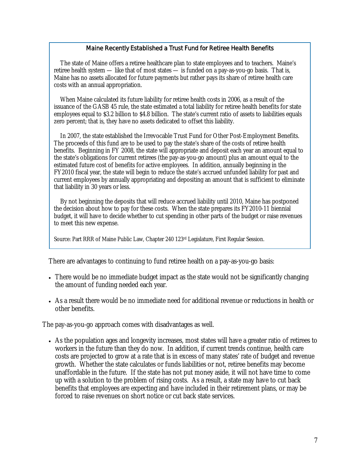### Maine Recently Established a Trust Fund for Retiree Health Benefits

The state of Maine offers a retiree healthcare plan to state employees and to teachers. Maine's retiree health system — like that of most states — is funded on a pay-as-you-go basis. That is, Maine has no assets allocated for future payments but rather pays its share of retiree health care costs with an annual appropriation.

When Maine calculated its future liability for retiree health costs in 2006, as a result of the issuance of the GASB 45 rule, the state estimated a total liability for retiree health benefits for state employees equal to \$3.2 billion to \$4.8 billion. The state's current ratio of assets to liabilities equals zero percent; that is, they have no assets dedicated to offset this liability.

In 2007, the state established the Irrevocable Trust Fund for Other Post-Employment Benefits. The proceeds of this fund are to be used to pay the state's share of the costs of retiree health benefits. Beginning in FY 2008, the state will appropriate and deposit each year an amount equal to the state's obligations for current retirees (the pay-as-you-go amount) plus an amount equal to the estimated future cost of benefits for active employees. In addition, annually beginning in the FY2010 fiscal year, the state will begin to reduce the state's accrued unfunded liability for past and current employees by annually appropriating and depositing an amount that is sufficient to eliminate that liability in 30 years or less.

By not beginning the deposits that will reduce accrued liability until 2010, Maine has postponed the decision about how to pay for these costs. When the state prepares its FY2010-11 biennial budget, it will have to decide whether to cut spending in other parts of the budget or raise revenues to meet this new expense.

Source: Part RRR of Maine Public Law, Chapter 240 123rd Legislature, First Regular Session.

There are advantages to continuing to fund retiree health on a pay-as-you-go basis:

- There would be no immediate budget impact as the state would not be significantly changing the amount of funding needed each year.
- As a result there would be no immediate need for additional revenue or reductions in health or other benefits.

The pay-as-you-go approach comes with disadvantages as well.

• As the population ages and longevity increases, most states will have a greater ratio of retirees to workers in the future than they do now. In addition, if current trends continue, health care costs are projected to grow at a rate that is in excess of many states' rate of budget and revenue growth. Whether the state calculates or funds liabilities or not, retiree benefits may become unaffordable in the future. If the state has not put money aside, it will not have time to come up with a solution to the problem of rising costs. As a result, a state may have to cut back benefits that employees are expecting and have included in their retirement plans, or may be forced to raise revenues on short notice or cut back state services.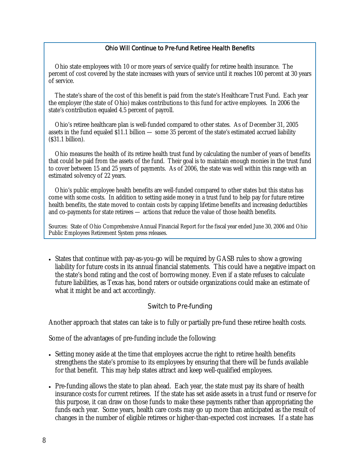## Ohio Will Continue to Pre-fund Retiree Health Benefits

Ohio state employees with 10 or more years of service qualify for retiree health insurance. The percent of cost covered by the state increases with years of service until it reaches 100 percent at 30 years of service.

The state's share of the cost of this benefit is paid from the state's Healthcare Trust Fund. Each year the employer (the state of Ohio) makes contributions to this fund for active employees. In 2006 the state's contribution equaled 4.5 percent of payroll.

Ohio's retiree healthcare plan is well-funded compared to other states. As of December 31, 2005 assets in the fund equaled \$11.1 billion — some 35 percent of the state's estimated accrued liability (\$31.1 billion).

Ohio measures the health of its retiree health trust fund by calculating the number of years of benefits that could be paid from the assets of the fund. Their goal is to maintain enough monies in the trust fund to cover between 15 and 25 years of payments. As of 2006, the state was well within this range with an estimated solvency of 22 years.

Ohio's public employee health benefits are well-funded compared to other states but this status has come with some costs. In addition to setting aside money in a trust fund to help pay for future retiree health benefits, the state moved to contain costs by capping lifetime benefits and increasing deductibles and co-payments for state retirees — actions that reduce the value of those health benefits.

Sources: State of Ohio Comprehensive Annual Financial Report for the fiscal year ended June 30, 2006 and Ohio Public Employees Retirement System press releases.

• States that continue with pay-as-you-go will be required by GASB rules to show a growing liability for future costs in its annual financial statements. This could have a negative impact on the state's bond rating and the cost of borrowing money. Even if a state refuses to calculate future liabilities, as Texas has, bond raters or outside organizations could make an estimate of what it might be and act accordingly.

## Switch to Pre-funding

Another approach that states can take is to fully or partially pre-fund these retiree health costs.

Some of the advantages of pre-funding include the following:

- Setting money aside at the time that employees accrue the right to retiree health benefits strengthens the state's promise to its employees by ensuring that there will be funds available for that benefit. This may help states attract and keep well-qualified employees.
- Pre-funding allows the state to plan ahead. Each year, the state must pay its share of health insurance costs for current retirees. If the state has set aside assets in a trust fund or reserve for this purpose, it can draw on those funds to make these payments rather than appropriating the funds each year. Some years, health care costs may go up more than anticipated as the result of changes in the number of eligible retirees or higher-than-expected cost increases. If a state has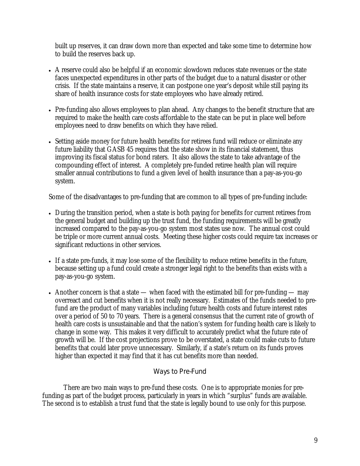built up reserves, it can draw down more than expected and take some time to determine how to build the reserves back up.

- A reserve could also be helpful if an economic slowdown reduces state revenues or the state faces unexpected expenditures in other parts of the budget due to a natural disaster or other crisis. If the state maintains a reserve, it can postpone one year's deposit while still paying its share of health insurance costs for state employees who have already retired.
- Pre-funding also allows employees to plan ahead. Any changes to the benefit structure that are required to make the health care costs affordable to the state can be put in place well before employees need to draw benefits on which they have relied.
- Setting aside money for future health benefits for retirees fund will reduce or eliminate any future liability that GASB 45 requires that the state show in its financial statement, thus improving its fiscal status for bond raters. It also allows the state to take advantage of the compounding effect of interest. A completely pre-funded retiree health plan will require smaller annual contributions to fund a given level of health insurance than a pay-as-you-go system.

Some of the disadvantages to pre-funding that are common to all types of pre-funding include:

- During the transition period, when a state is both paying for benefits for current retirees from the general budget and building up the trust fund, the funding requirements will be greatly increased compared to the pay-as-you-go system most states use now. The annual cost could be triple or more current annual costs. Meeting these higher costs could require tax increases or significant reductions in other services.
- If a state pre-funds, it may lose some of the flexibility to reduce retiree benefits in the future, because setting up a fund could create a stronger legal right to the benefits than exists with a pay-as-you-go system.
- Another concern is that a state when faced with the estimated bill for pre-funding may overreact and cut benefits when it is not really necessary. Estimates of the funds needed to prefund are the product of many variables including future health costs and future interest rates over a period of 50 to 70 years. There is a general consensus that the current rate of growth of health care costs is unsustainable and that the nation's system for funding health care is likely to change in some way. This makes it very difficult to accurately predict what the future rate of growth will be. If the cost projections prove to be overstated, a state could make cuts to future benefits that could later prove unnecessary. Similarly, if a state's return on its funds proves higher than expected it may find that it has cut benefits more than needed.

# Ways to Pre-Fund

 There are two main ways to pre-fund these costs. One is to appropriate monies for prefunding as part of the budget process, particularly in years in which "surplus" funds are available. The second is to establish a trust fund that the state is legally bound to use only for this purpose.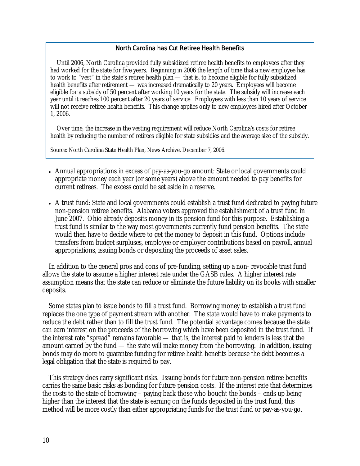#### North Carolina has Cut Retiree Health Benefits

Until 2006, North Carolina provided fully subsidized retiree health benefits to employees after they had worked for the state for five years. Beginning in 2006 the length of time that a new employee has to work to "vest" in the state's retiree health plan — that is, to become eligible for fully subsidized health benefits after retirement — was increased dramatically to 20 years. Employees will become eligible for a subsidy of 50 percent after working 10 years for the state. The subsidy will increase each year until it reaches 100 percent after 20 years of service. Employees with less than 10 years of service will not receive retiree health benefits. This change applies only to new employees hired after October 1, 2006.

Over time, the increase in the vesting requirement will reduce North Carolina's costs for retiree health by reducing the number of retirees eligible for state subsidies and the average size of the subsidy.

Source: North Carolina State Health Plan, News Archive, December 7, 2006.

- Annual appropriations in excess of pay-as-you-go amount: State or local governments could appropriate money each year (or some years) above the amount needed to pay benefits for current retirees. The excess could be set aside in a reserve.
- A trust fund: State and local governments could establish a trust fund dedicated to paying future non-pension retiree benefits. Alabama voters approved the establishment of a trust fund in June 2007. Ohio already deposits money in its pension fund for this purpose. Establishing a trust fund is similar to the way most governments currently fund pension benefits. The state would then have to decide where to get the money to deposit in this fund. Options include transfers from budget surpluses, employee or employer contributions based on payroll, annual appropriations, issuing bonds or depositing the proceeds of asset sales.

In addition to the general pros and cons of pre-funding, setting up a non- revocable trust fund allows the state to assume a higher interest rate under the GASB rules. A higher interest rate assumption means that the state can reduce or eliminate the future liability on its books with smaller deposits.

Some states plan to issue bonds to fill a trust fund. Borrowing money to establish a trust fund replaces the one type of payment stream with another. The state would have to make payments to reduce the debt rather than to fill the trust fund. The potential advantage comes because the state can earn interest on the proceeds of the borrowing which have been deposited in the trust fund. If the interest rate "spread" remains favorable — that is, the interest paid to lenders is less that the amount earned by the fund — the state will make money from the borrowing. In addition, issuing bonds may do more to guarantee funding for retiree health benefits because the debt becomes a legal obligation that the state is required to pay.

This strategy does carry significant risks. Issuing bonds for future non-pension retiree benefits carries the same basic risks as bonding for future pension costs. If the interest rate that determines the costs to the state of borrowing – paying back those who bought the bonds – ends up being higher than the interest that the state is earning on the funds deposited in the trust fund, this method will be more costly than either appropriating funds for the trust fund or pay-as-you-go.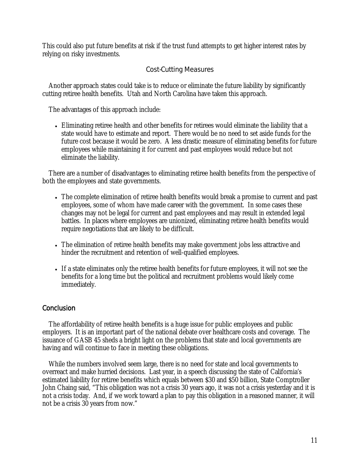This could also put future benefits at risk if the trust fund attempts to get higher interest rates by relying on risky investments.

# Cost-Cutting Measures

Another approach states could take is to reduce or eliminate the future liability by significantly cutting retiree health benefits. Utah and North Carolina have taken this approach.

The advantages of this approach include:

• Eliminating retiree health and other benefits for retirees would eliminate the liability that a state would have to estimate and report. There would be no need to set aside funds for the future cost because it would be zero. A less drastic measure of eliminating benefits for future employees while maintaining it for current and past employees would reduce but not eliminate the liability.

There are a number of disadvantages to eliminating retiree health benefits from the perspective of both the employees and state governments.

- The complete elimination of retiree health benefits would break a promise to current and past employees, some of whom have made career with the government. In some cases these changes may not be legal for current and past employees and may result in extended legal battles. In places where employees are unionized, eliminating retiree health benefits would require negotiations that are likely to be difficult.
- The elimination of retiree health benefits may make government jobs less attractive and hinder the recruitment and retention of well-qualified employees.
- If a state eliminates only the retiree health benefits for future employees, it will not see the benefits for a long time but the political and recruitment problems would likely come immediately.

# **Conclusion**

The affordability of retiree health benefits is a huge issue for public employees and public employers. It is an important part of the national debate over healthcare costs and coverage. The issuance of GASB 45 sheds a bright light on the problems that state and local governments are having and will continue to face in meeting these obligations.

While the numbers involved seem large, there is no need for state and local governments to overreact and make hurried decisions. Last year, in a speech discussing the state of California's estimated liability for retiree benefits which equals between \$30 and \$50 billion, State Comptroller John Chaing said, "This obligation was not a crisis 30 years ago, it was not a crisis yesterday and it is not a crisis today. And, if we work toward a plan to pay this obligation in a reasoned manner, it will not be a crisis 30 years from now."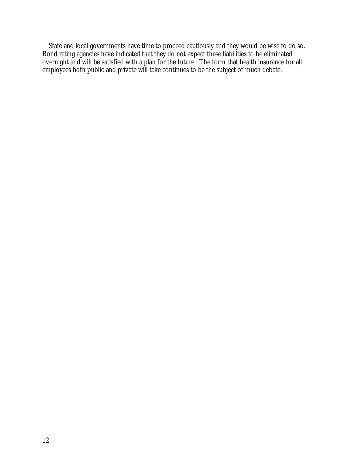State and local governments have time to proceed cautiously and they would be wise to do so. Bond rating agencies have indicated that they do not expect these liabilities to be eliminated overnight and will be satisfied with a plan for the future. The form that health insurance for all employees both public and private will take continues to be the subject of much debate.